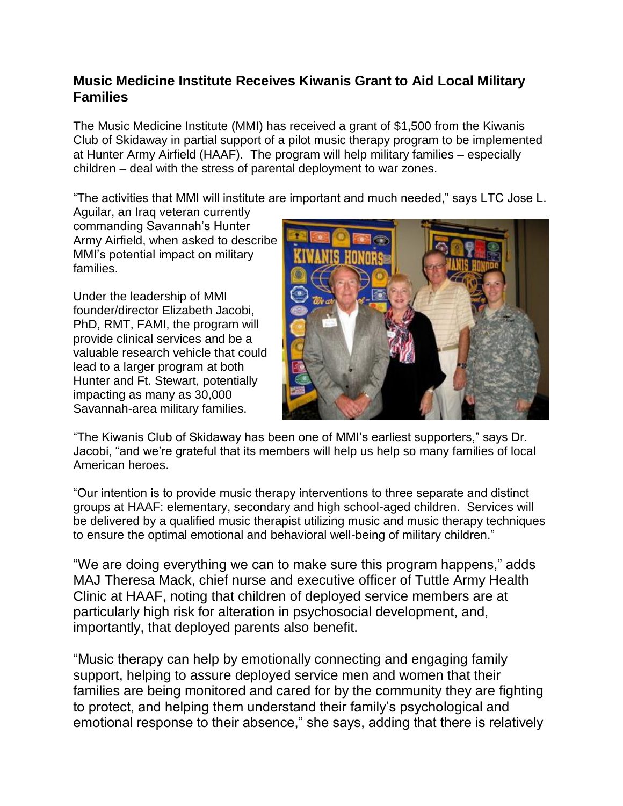## **Music Medicine Institute Receives Kiwanis Grant to Aid Local Military Families**

The Music Medicine Institute (MMI) has received a grant of \$1,500 from the Kiwanis Club of Skidaway in partial support of a pilot music therapy program to be implemented at Hunter Army Airfield (HAAF). The program will help military families – especially children – deal with the stress of parental deployment to war zones.

"The activities that MMI will institute are important and much needed," says LTC Jose L.

Aguilar, an Iraq veteran currently commanding Savannah's Hunter Army Airfield, when asked to describe MMI's potential impact on military families.

Under the leadership of MMI founder/director Elizabeth Jacobi, PhD, RMT, FAMI, the program will provide clinical services and be a valuable research vehicle that could lead to a larger program at both Hunter and Ft. Stewart, potentially impacting as many as 30,000 Savannah-area military families.



"The Kiwanis Club of Skidaway has been one of MMI's earliest supporters," says Dr. Jacobi, "and we're grateful that its members will help us help so many families of local American heroes.

"Our intention is to provide music therapy interventions to three separate and distinct groups at HAAF: elementary, secondary and high school-aged children. Services will be delivered by a qualified music therapist utilizing music and music therapy techniques to ensure the optimal emotional and behavioral well-being of military children."

"We are doing everything we can to make sure this program happens," adds MAJ Theresa Mack, chief nurse and executive officer of Tuttle Army Health Clinic at HAAF, noting that children of deployed service members are at particularly high risk for alteration in psychosocial development, and, importantly, that deployed parents also benefit.

"Music therapy can help by emotionally connecting and engaging family support, helping to assure deployed service men and women that their families are being monitored and cared for by the community they are fighting to protect, and helping them understand their family's psychological and emotional response to their absence," she says, adding that there is relatively